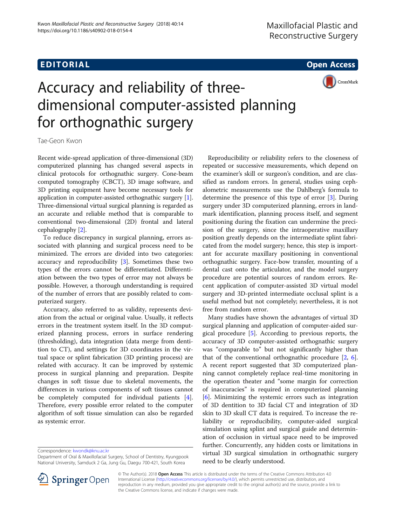## **EDITORIAL** CONTROL CONTROL CONTROL CONTROL CONTROL CONTROL CONTROL CONTROL CONTROL CONTROL CONTROL CONTROL CONTROL CONTROL CONTROL CONTROL CONTROL CONTROL CONTROL CONTROL CONTROL CONTROL CONTROL CONTROL CONTROL CONTROL CO



# Accuracy and reliability of threedimensional computer-assisted planning for orthognathic surgery

Tae-Geon Kwon

Recent wide-spread application of three-dimensional (3D) computerized planning has changed several aspects in clinical protocols for orthognathic surgery. Cone-beam computed tomography (CBCT), 3D image software, and 3D printing equipment have become necessary tools for application in computer-assisted orthognathic surgery [[1](#page-1-0)]. Three-dimensional virtual surgical planning is regarded as an accurate and reliable method that is comparable to conventional two-dimensional (2D) frontal and lateral cephalography [\[2](#page-1-0)].

To reduce discrepancy in surgical planning, errors associated with planning and surgical process need to be minimized. The errors are divided into two categories: accuracy and reproducibility [[3\]](#page-1-0). Sometimes these two types of the errors cannot be differentiated. Differentiation between the two types of error may not always be possible. However, a thorough understanding is required of the number of errors that are possibly related to computerized surgery.

Accuracy, also referred to as validity, represents deviation from the actual or original value. Usually, it reflects errors in the treatment system itself. In the 3D computerized planning process, errors in surface rendering (thresholding), data integration (data merge from dentition to CT), and settings for 3D coordinates in the virtual space or splint fabrication (3D printing process) are related with accuracy. It can be improved by systemic process in surgical planning and preparation. Despite changes in soft tissue due to skeletal movements, the differences in various components of soft tissues cannot be completely computed for individual patients [\[4](#page-1-0)]. Therefore, every possible error related to the computer algorithm of soft tissue simulation can also be regarded as systemic error.

Correspondence: [kwondk@knu.ac.kr](mailto:kwondk@knu.ac.kr)



Reproducibility or reliability refers to the closeness of

Many studies have shown the advantages of virtual 3D surgical planning and application of computer-aided surgical procedure [[5\]](#page-1-0). According to previous reports, the accuracy of 3D computer-assisted orthognathic surgery was "comparable to" but not significantly higher than that of the conventional orthognathic procedure  $[2, 6]$  $[2, 6]$  $[2, 6]$  $[2, 6]$  $[2, 6]$ . A recent report suggested that 3D computerized planning cannot completely replace real-time monitoring in the operation theater and "some margin for correction of inaccuracies" is required in computerized planning [[6\]](#page-1-0). Minimizing the systemic errors such as integration of 3D dentition to 3D facial CT and integration of 3D skin to 3D skull CT data is required. To increase the reliability or reproducibility, computer-aided surgical simulation using splint and surgical guide and determination of occlusion in virtual space need to be improved further. Concurrently, any hidden costs or limitations in virtual 3D surgical simulation in orthognathic surgery need to be clearly understood.



© The Author(s). 2018 Open Access This article is distributed under the terms of the Creative Commons Attribution 4.0 International License ([http://creativecommons.org/licenses/by/4.0/\)](http://creativecommons.org/licenses/by/4.0/), which permits unrestricted use, distribution, and reproduction in any medium, provided you give appropriate credit to the original author(s) and the source, provide a link to the Creative Commons license, and indicate if changes were made.

Department of Oral & Maxillofacial Surgery, School of Dentistry, Kyungpook National University, Samduck 2 Ga, Jung Gu, Daegu 700-421, South Korea